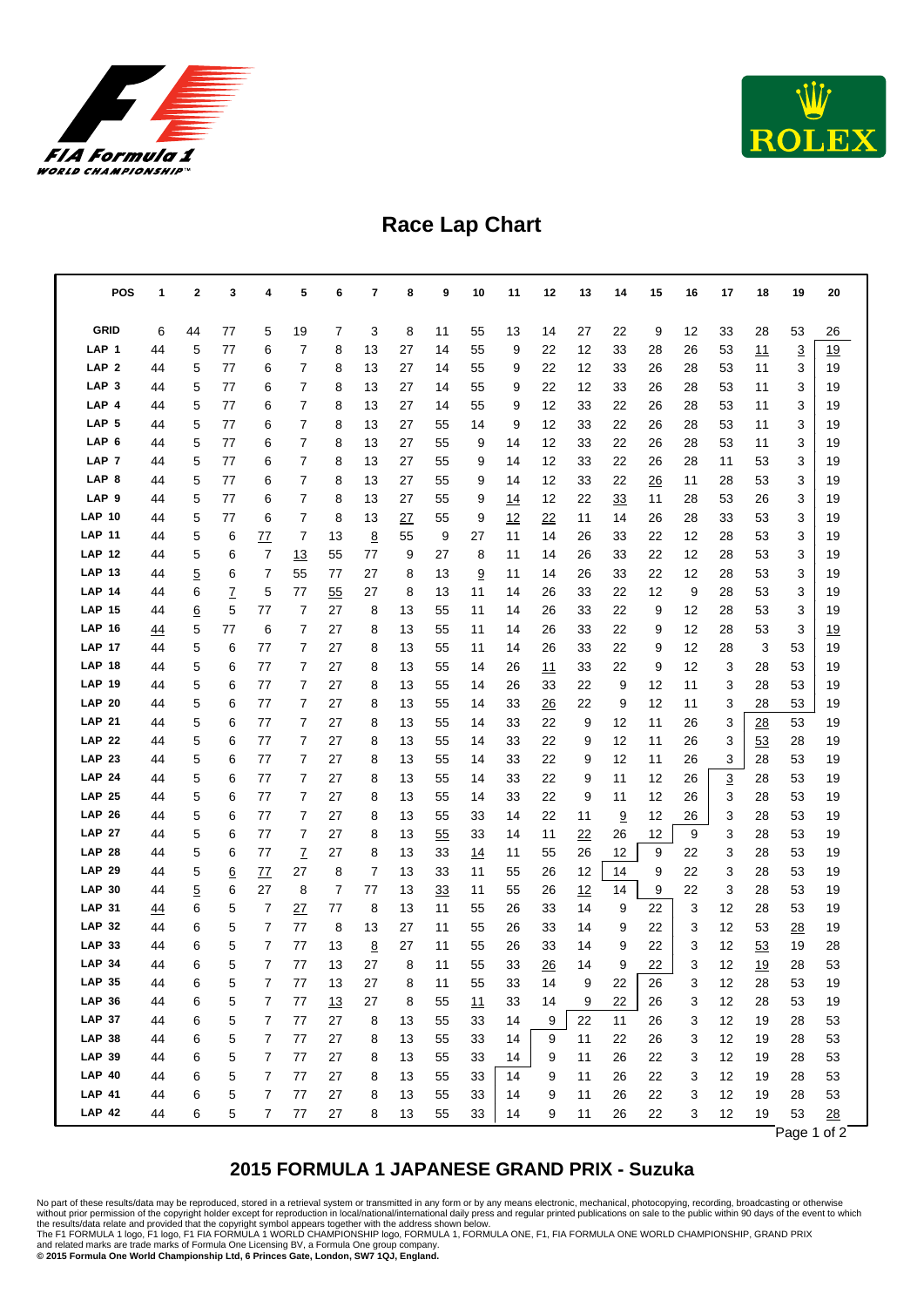



## **Race Lap Chart**

| <b>POS</b>                     | 1        | 2        | 3        | 4        | 5              | 6        | 7      | 8        | 9        | 10         | 11         | 12       | 13       | 14      | 15       | 16       | 17     | 18       | 19       | 20        |
|--------------------------------|----------|----------|----------|----------|----------------|----------|--------|----------|----------|------------|------------|----------|----------|---------|----------|----------|--------|----------|----------|-----------|
| <b>GRID</b>                    | 6        | 44       | 77       | 5        | 19             | 7        | 3      | 8        | 11       | 55         | 13         | 14       | 27       | 22      | 9        | 12       | 33     | 28       | 53       | 26        |
| LAP <sub>1</sub>               | 44       | 5        | 77       | 6        | 7              | 8        | 13     | 27       | 14       | 55         | 9          | 22       | 12       | 33      | 28       | 26       | 53     | 11       | 3        | 19        |
| LAP <sub>2</sub>               | 44       | 5        | 77       | 6        | 7              | 8        | 13     | 27       | 14       | 55         | 9          | 22       | 12       | 33      | 26       | 28       | 53     | 11       | 3        | 19        |
| LAP <sub>3</sub>               | 44       | 5        | 77       | 6        | 7              | 8        | 13     | 27       | 14       | 55         | 9          | 22       | 12       | 33      | 26       | 28       | 53     | 11       | 3        | 19        |
| LAP 4                          | 44       | 5        | 77       | 6        | 7              | 8        | 13     | 27       | 14       | 55         | 9          | 12       | 33       | 22      | 26       | 28       | 53     | 11       | 3        | 19        |
| LAP <sub>5</sub>               | 44       | 5        | 77       | 6        | 7              | 8        | 13     | 27       | 55       | 14         | 9          | 12       | 33       | 22      | 26       | 28       | 53     | 11       | 3        | 19        |
| LAP 6                          | 44       | 5        | 77       | 6        | 7              | 8        | 13     | 27       | 55       | 9          | 14         | 12       | 33       | 22      | 26       | 28       | 53     | 11       | 3        | 19        |
| LAP <sub>7</sub>               | 44       | 5        | 77       | 6        | 7              | 8        | 13     | 27       | 55       | 9          | 14         | 12       | 33       | 22      | 26       | 28       | 11     | 53       | 3        | 19        |
| LAP <sub>8</sub>               | 44       | 5        | 77       | 6        | 7              | 8        | 13     | 27       | 55       | 9          | 14         | 12       | 33       | 22      | 26       | 11       | 28     | 53       | 3        | 19        |
| LAP <sub>9</sub>               | 44       | 5        | 77       | 6        | 7              | 8        | 13     | 27       | 55       | 9          | <u> 14</u> | 12       | 22       | 33      | 11       | 28       | 53     | 26       | 3        | 19        |
| <b>LAP 10</b>                  | 44       | 5        | 77       | 6        | 7              | 8        | 13     | 27       | 55       | 9          | 12         | 22       | 11       | 14      | 26       | 28       | 33     | 53       | 3        | 19        |
| <b>LAP 11</b>                  | 44       | 5        | 6        | 77       | 7              | 13       | 8      | 55       | 9        | 27         | 11         | 14       | 26       | 33      | 22       | 12       | 28     | 53       | 3        | 19        |
| <b>LAP 12</b>                  | 44       | 5        | 6        | 7        | 13             | 55       | 77     | 9        | 27       | 8          | 11         | 14       | 26       | 33      | 22       | 12       | 28     | 53       | 3        | 19        |
| <b>LAP 13</b>                  | 44       | 5        | 6        | 7        | 55             | 77       | 27     | 8        | 13       | 9          | 11         | 14       | 26       | 33      | 22       | 12       | 28     | 53       | 3        | 19        |
| <b>LAP 14</b>                  | 44       | 6        | 7        | 5        | 77             | 55       | 27     | 8        | 13       | 11         | 14         | 26       | 33       | 22      | 12       | 9        | 28     | 53       | 3        | 19        |
| <b>LAP 15</b>                  | 44       | <u>6</u> | 5        | 77       | 7              | 27       | 8      | 13       | 55       | 11         | 14         | 26       | 33       | 22      | 9        | 12       | 28     | 53       | 3        | 19        |
| <b>LAP 16</b>                  | 44       | 5        | 77       | 6        | $\overline{7}$ | 27       | 8      | 13       | 55       | 11         | 14         | 26       | 33       | 22      | 9        | 12       | 28     | 53       | 3        | <u>19</u> |
| <b>LAP 17</b>                  | 44       | 5        | 6        | 77       | 7              | 27       | 8      | 13       | 55       | 11         | 14         | 26       | 33       | 22      | 9        | 12       | 28     | 3        | 53       | 19        |
| <b>LAP 18</b><br><b>LAP 19</b> | 44       | 5        | 6        | 77       | 7              | 27       | 8      | 13       | 55       | 14         | 26         | 11       | 33       | 22      | 9        | 12       | 3      | 28       | 53       | 19        |
| <b>LAP 20</b>                  | 44       | 5<br>5   | 6<br>6   | 77<br>77 | 7<br>7         | 27<br>27 | 8<br>8 | 13       | 55       | 14         | 26         | 33       | 22<br>22 | 9       | 12<br>12 | 11<br>11 | 3      | 28<br>28 | 53<br>53 | 19<br>19  |
| <b>LAP 21</b>                  | 44<br>44 | 5        | 6        | 77       | 7              | 27       | 8      | 13<br>13 | 55<br>55 | 14<br>14   | 33<br>33   | 26<br>22 | 9        | 9<br>12 | 11       | 26       | 3<br>3 | 28       | 53       | 19        |
| <b>LAP 22</b>                  | 44       | 5        | 6        | 77       | 7              | 27       | 8      | 13       | 55       | 14         | 33         | 22       | 9        | 12      | 11       | 26       | 3      | 53       | 28       | 19        |
| <b>LAP 23</b>                  | 44       | 5        | 6        | 77       | 7              | 27       | 8      | 13       | 55       | 14         | 33         | 22       | 9        | 12      | 11       | 26       | 3      | 28       | 53       | 19        |
| <b>LAP 24</b>                  | 44       | 5        | 6        | 77       | 7              | 27       | 8      | 13       | 55       | 14         | 33         | 22       | 9        | 11      | 12       | 26       | 3      | 28       | 53       | 19        |
| <b>LAP 25</b>                  | 44       | 5        | 6        | 77       | $\overline{7}$ | 27       | 8      | 13       | 55       | 14         | 33         | 22       | 9        | 11      | 12       | 26       | 3      | 28       | 53       | 19        |
| <b>LAP 26</b>                  | 44       | 5        | 6        | 77       | 7              | 27       | 8      | 13       | 55       | 33         | 14         | 22       | 11       | 9       | 12       | 26       | 3      | 28       | 53       | 19        |
| <b>LAP 27</b>                  | 44       | 5        | 6        | 77       | $\overline{7}$ | 27       | 8      | 13       | 55       | 33         | 14         | 11       | 22       | 26      | 12       | 9        | 3      | 28       | 53       | 19        |
| <b>LAP 28</b>                  | 44       | 5        | 6        | 77       | $\mathbf{Z}$   | 27       | 8      | 13       | 33       | <u> 14</u> | 11         | 55       | 26       | 12      | 9        | 22       | 3      | 28       | 53       | 19        |
| <b>LAP 29</b>                  | 44       | 5        | <u>6</u> | 77       | 27             | 8        | 7      | 13       | 33       | 11         | 55         | 26       | 12       | 14      | 9        | 22       | 3      | 28       | 53       | 19        |
| <b>LAP 30</b>                  | 44       | 5        | 6        | 27       | 8              | 7        | 77     | 13       | 33       | 11         | 55         | 26       | 12       | 14      | 9        | 22       | 3      | 28       | 53       | 19        |
| <b>LAP 31</b>                  | 44       | 6        | 5        | 7        | 27             | 77       | 8      | 13       | 11       | 55         | 26         | 33       | 14       | 9       | 22       | 3        | 12     | 28       | 53       | 19        |
| <b>LAP 32</b>                  | 44       | 6        | 5        | 7        | 77             | 8        | 13     | 27       | 11       | 55         | 26         | 33       | 14       | 9       | 22       | 3        | 12     | 53       | 28       | 19        |
| <b>LAP 33</b>                  | 44       | 6        | 5        | 7        | 77             | 13       | 8      | 27       | 11       | 55         | 26         | 33       | 14       | 9       | 22       | 3        | 12     | 53       | 19       | 28        |
| <b>LAP 34</b>                  | 44       | 6        | 5        | 7        | 77             | 13       | 27     | 8        | 11       | 55         | 33         | 26       | 14       | 9       | 22       | 3        | 12     | 19       | 28       | 53        |
| <b>LAP 35</b>                  | 44       | 6        | 5        | 7        | 77             | 13       | 27     | 8        | 11       | 55         | 33         | 14       | 9        | 22      | 26       | 3        | 12     | 28       | 53       | 19        |
| <b>LAP 36</b>                  | 44       | 6        | 5        | 7        | 77             | 13       | 27     | 8        | 55       | 11         | 33         | 14       | 9        | 22      | 26       | 3        | 12     | 28       | 53       | 19        |
| <b>LAP 37</b>                  | 44       | 6        | 5        | 7        | 77             | 27       | 8      | 13       | 55       | 33         | 14         | 9        | 22       | 11      | 26       | 3        | 12     | 19       | 28       | 53        |
| <b>LAP 38</b>                  | 44       | 6        | 5        | 7        | 77             | 27       | 8      | 13       | 55       | 33         | 14         | 9        | 11       | 22      | 26       | 3        | 12     | 19       | 28       | 53        |
| <b>LAP 39</b>                  | 44       | 6        | 5        | 7        | 77             | 27       | 8      | 13       | 55       | 33         | 14         | 9        | 11       | 26      | 22       | 3        | 12     | 19       | 28       | 53        |
| <b>LAP 40</b>                  | 44       | 6        | 5        | 7        | 77             | 27       | 8      | 13       | 55       | 33         | 14         | 9        | 11       | 26      | 22       | 3        | 12     | 19       | 28       | 53        |
| <b>LAP 41</b>                  | 44       | 6        | 5        | 7        | 77             | 27       | 8      | 13       | 55       | 33         | 14         | 9        | 11       | 26      | 22       | 3        | 12     | 19       | 28       | 53        |
| <b>LAP 42</b>                  | 44       | 6        | 5        | 7        | 77             | 27       | 8      | 13       | 55       | 33         | 14         | 9        | 11       | 26      | 22       | 3        | 12     | 19       | 53       | 28        |

Page 1 of 2

## **2015 FORMULA 1 JAPANESE GRAND PRIX - Suzuka**

No part of these results/data may be reproduced, stored in a retrieval system or transmitted in any form or by any means electronic, mechanical, photocopying, recording, broadcasting or otherwise<br>without prior permission o